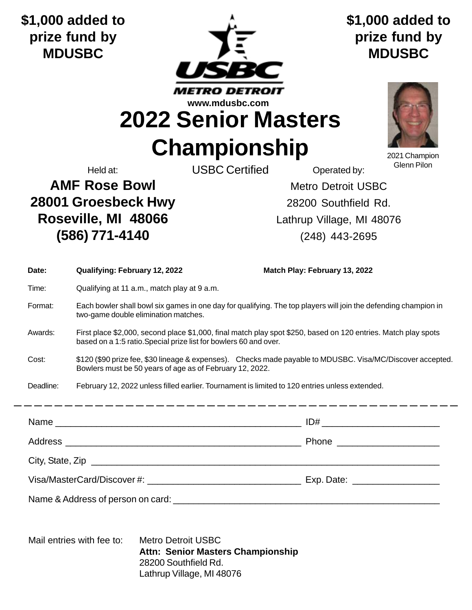**\$1,000 added to prize fund by MDUSBC**



**\$1,000 added to prize fund by MDUSBC**

**2022 Senior Masters**

**Championship**

2021 Champion Glenn Pilon

Held at: Casa Construction USBC Certified Accretion Contracted by:

**AMF Rose Bowl Metro Detroit USBC 28001 Groesbeck Hwy** 28200 Southfield Rd. **Roseville, MI 48066** Lathrup Village, MI 48076 **(586) 771-4140** (248) 443-2695

| Date:            | Qualifying: February 12, 2022                                                                                                                                                       | Match Play: February 13, 2022 |  |
|------------------|-------------------------------------------------------------------------------------------------------------------------------------------------------------------------------------|-------------------------------|--|
| Time:            | Qualifying at 11 a.m., match play at 9 a.m.                                                                                                                                         |                               |  |
| Format:          | Each bowler shall bowl six games in one day for qualifying. The top players will join the defending champion in<br>two-game double elimination matches.                             |                               |  |
| Awards:          | First place \$2,000, second place \$1,000, final match play spot \$250, based on 120 entries. Match play spots<br>based on a 1:5 ratio. Special prize list for bowlers 60 and over. |                               |  |
| Cost:            | \$120 (\$90 prize fee, \$30 lineage & expenses). Checks made payable to MDUSBC. Visa/MC/Discover accepted.<br>Bowlers must be 50 years of age as of February 12, 2022.              |                               |  |
| Deadline:        | February 12, 2022 unless filled earlier. Tournament is limited to 120 entries unless extended.                                                                                      |                               |  |
|                  |                                                                                                                                                                                     |                               |  |
|                  |                                                                                                                                                                                     |                               |  |
|                  |                                                                                                                                                                                     |                               |  |
| City, State, Zip |                                                                                                                                                                                     |                               |  |
|                  |                                                                                                                                                                                     |                               |  |
|                  |                                                                                                                                                                                     |                               |  |
|                  |                                                                                                                                                                                     |                               |  |

Mail entries with fee to: Metro Detroit USBC **Attn: Senior Masters Championship** 28200 Southfield Rd. Lathrup Village, MI 48076